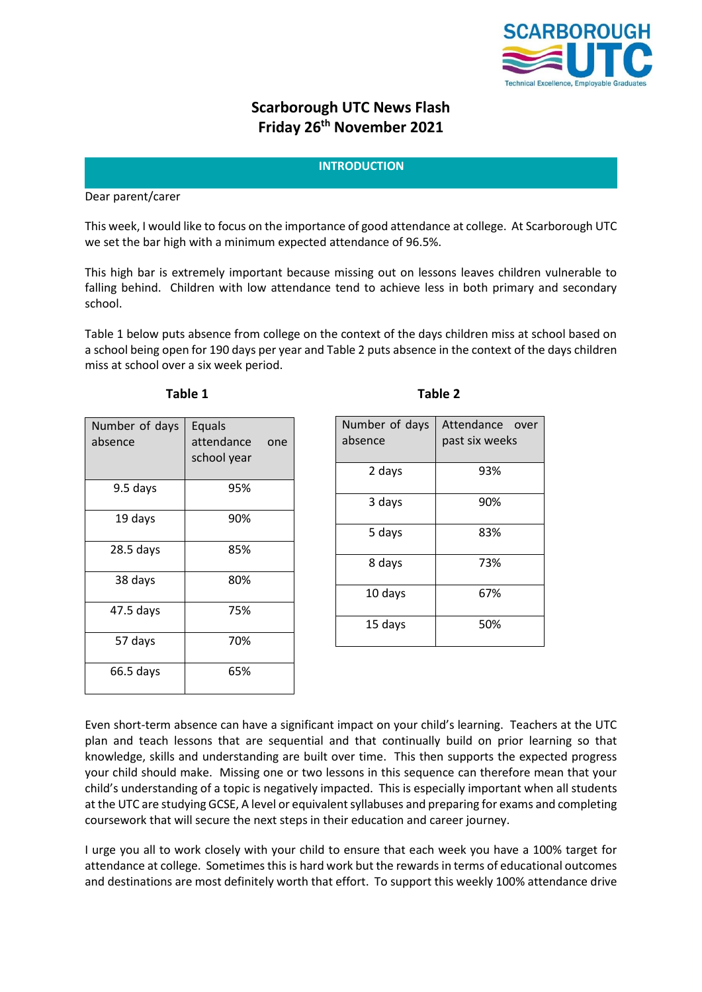

# **Scarborough UTC News Flash Friday 26th November 2021**

## **INTRODUCTION**

Dear parent/carer

This week, I would like to focus on the importance of good attendance at college. At Scarborough UTC we set the bar high with a minimum expected attendance of 96.5%.

This high bar is extremely important because missing out on lessons leaves children vulnerable to falling behind. Children with low attendance tend to achieve less in both primary and secondary school.

Table 1 below puts absence from college on the context of the days children miss at school based on a school being open for 190 days per year and Table 2 puts absence in the context of the days children miss at school over a six week period.

| Number of days<br>absence | Equals<br>attendance<br>one<br>school year |
|---------------------------|--------------------------------------------|
| 9.5 days                  | 95%                                        |
| 19 days                   | 90%                                        |
| $28.5$ days               | 85%                                        |
| 38 days                   | 80%                                        |
| 47.5 days                 | 75%                                        |
| 57 days                   | 70%                                        |
| 66.5 days                 | 65%                                        |

| U<br>. . |  |
|----------|--|
|----------|--|

| Number of days<br>absence | Attendance over<br>past six weeks |
|---------------------------|-----------------------------------|
| 2 days                    | 93%                               |
| 3 days                    | 90%                               |
| 5 days                    | 83%                               |
| 8 days                    | 73%                               |
| 10 days                   | 67%                               |
| 15 days                   | 50%                               |

**Table 1 Table 2**

Even short-term absence can have a significant impact on your child's learning. Teachers at the UTC plan and teach lessons that are sequential and that continually build on prior learning so that knowledge, skills and understanding are built over time. This then supports the expected progress your child should make. Missing one or two lessons in this sequence can therefore mean that your child's understanding of a topic is negatively impacted. This is especially important when all students at the UTC are studying GCSE, A level or equivalent syllabuses and preparing for exams and completing coursework that will secure the next steps in their education and career journey.

I urge you all to work closely with your child to ensure that each week you have a 100% target for attendance at college. Sometimes this is hard work but the rewards in terms of educational outcomes and destinations are most definitely worth that effort. To support this weekly 100% attendance drive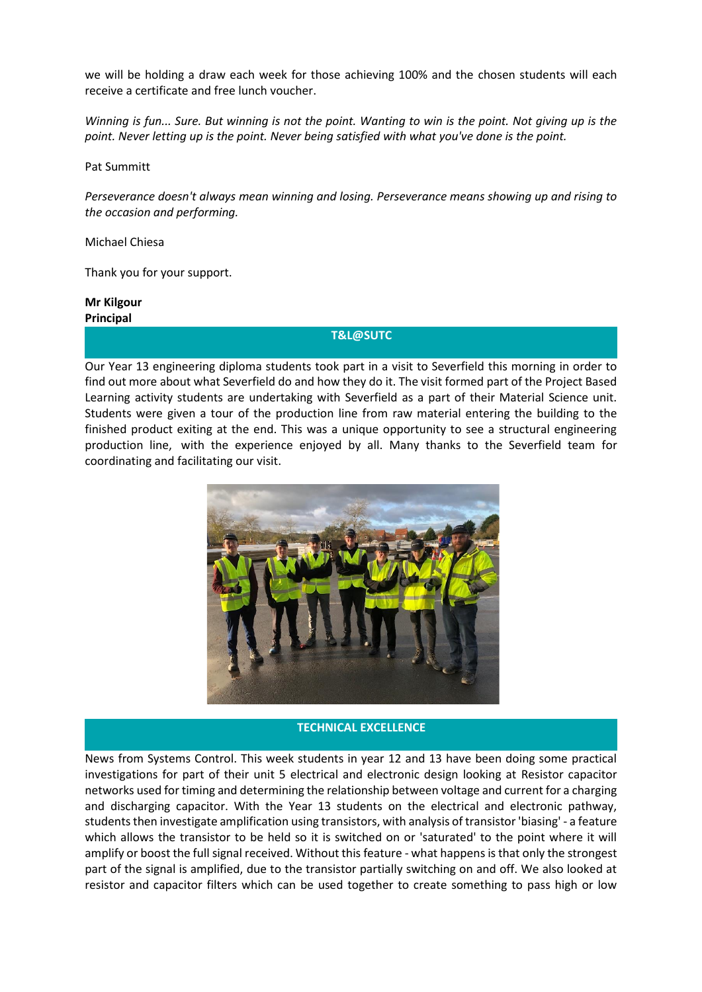we will be holding a draw each week for those achieving 100% and the chosen students will each receive a certificate and free lunch voucher.

*Winning is fun... Sure. But winning is not the point. Wanting to win is the point. Not giving up is the point. Never letting up is the point. Never being satisfied with what you've done is the point.*

[Pat Summitt](https://www.brainyquote.com/authors/pat-summitt-quotes)

*Perseverance doesn't always mean winning and losing. Perseverance means showing up and rising to the occasion and performing.*

[Michael Chiesa](https://www.brainyquote.com/authors/michael-chiesa-quotes)

Thank you for your support.

**Mr Kilgour Principal**

**T&L@SUTC**

Our Year 13 engineering diploma students took part in a visit to Severfield this morning in order to find out more about what Severfield do and how they do it. The visit formed part of the Project Based Learning activity students are undertaking with Severfield as a part of their Material Science unit. Students were given a tour of the production line from raw material entering the building to the finished product exiting at the end. This was a unique opportunity to see a structural engineering production line, with the experience enjoyed by all. Many thanks to the Severfield team for coordinating and facilitating our visit.



#### **TECHNICAL EXCELLENCE**

News from Systems Control. This week students in year 12 and 13 have been doing some practical investigations for part of their unit 5 electrical and electronic design looking at Resistor capacitor networks used for timing and determining the relationship between voltage and current for a charging and discharging capacitor. With the Year 13 students on the electrical and electronic pathway, students then investigate amplification using transistors, with analysis of transistor 'biasing' - a feature which allows the transistor to be held so it is switched on or 'saturated' to the point where it will amplify or boost the full signal received. Without this feature - what happens is that only the strongest part of the signal is amplified, due to the transistor partially switching on and off. We also looked at resistor and capacitor filters which can be used together to create something to pass high or low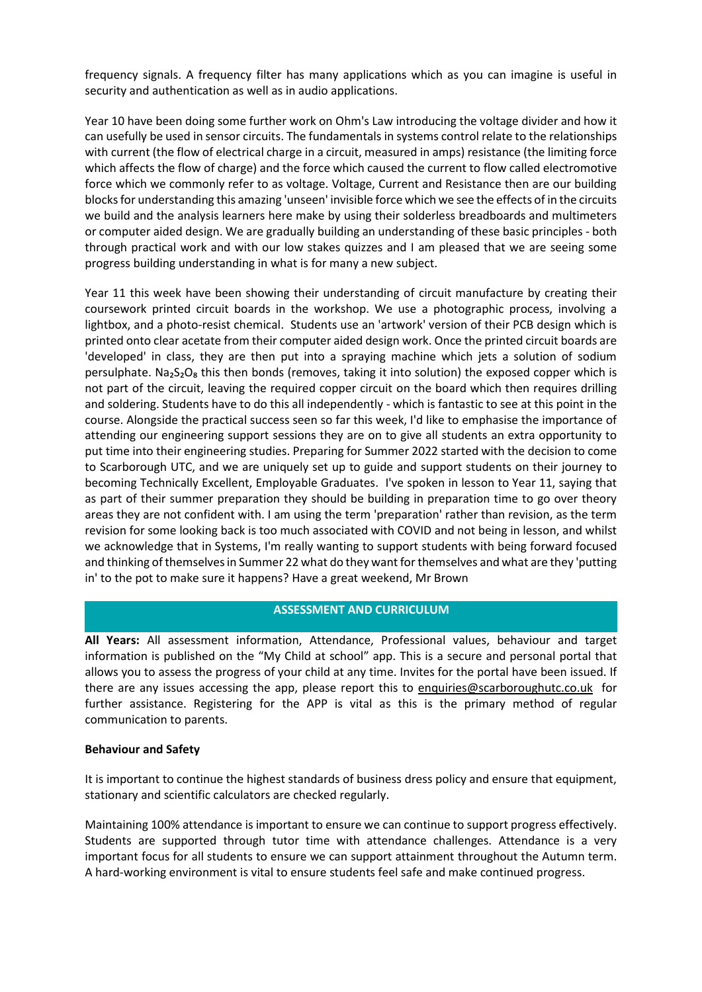frequency signals. A frequency filter has many applications which as you can imagine is useful in security and authentication as well as in audio applications.

Year 10 have been doing some further work on Ohm's Law introducing the voltage divider and how it can usefully be used in sensor circuits. The fundamentals in systems control relate to the relationships with current (the flow of electrical charge in a circuit, measured in amps) resistance (the limiting force which affects the flow of charge) and the force which caused the current to flow called electromotive force which we commonly refer to as voltage. Voltage, Current and Resistance then are our building blocks for understanding this amazing 'unseen' invisible force which we see the effects of in the circuits we build and the analysis learners here make by using their solderless breadboards and multimeters or computer aided design. We are gradually building an understanding of these basic principles - both through practical work and with our low stakes quizzes and I am pleased that we are seeing some progress building understanding in what is for many a new subject.

Year 11 this week have been showing their understanding of circuit manufacture by creating their coursework printed circuit boards in the workshop. We use a photographic process, involving a lightbox, and a photo-resist chemical. Students use an 'artwork' version of their PCB design which is printed onto clear acetate from their computer aided design work. Once the printed circuit boards are 'developed' in class, they are then put into a spraying machine which jets a solution of sodium persulphate. Na<sub>2</sub>S<sub>2</sub>O<sub>8</sub> this then bonds (removes, taking it into solution) the exposed copper which is not part of the circuit, leaving the required copper circuit on the board which then requires drilling and soldering. Students have to do this all independently - which is fantastic to see at this point in the course. Alongside the practical success seen so far this week, I'd like to emphasise the importance of attending our engineering support sessions they are on to give all students an extra opportunity to put time into their engineering studies. Preparing for Summer 2022 started with the decision to come to Scarborough UTC, and we are uniquely set up to guide and support students on their journey to becoming Technically Excellent, Employable Graduates. I've spoken in lesson to Year 11, saying that as part of their summer preparation they should be building in preparation time to go over theory areas they are not confident with. I am using the term 'preparation' rather than revision, as the term revision for some looking back is too much associated with COVID and not being in lesson, and whilst we acknowledge that in Systems, I'm really wanting to support students with being forward focused and thinking of themselves in Summer 22 what do they want for themselves and what are they 'putting in' to the pot to make sure it happens? Have a great weekend, Mr Brown

## **ASSESSMENT AND CURRICULUM**

**All Years:** All assessment information, Attendance, Professional values, behaviour and target information is published on the "My Child at school" app. This is a secure and personal portal that allows you to assess the progress of your child at any time. Invites for the portal have been issued. If there are any issues accessing the app, please report this to [enquiries@scarboroughutc.co.uk](mailto:enquiries@scarboroughutc.co.uk) for further assistance. Registering for the APP is vital as this is the primary method of regular communication to parents.

#### **Behaviour and Safety**

It is important to continue the highest standards of business dress policy and ensure that equipment, stationary and scientific calculators are checked regularly.

Maintaining 100% attendance is important to ensure we can continue to support progress effectively. Students are supported through tutor time with attendance challenges. Attendance is a very important focus for all students to ensure we can support attainment throughout the Autumn term. A hard-working environment is vital to ensure students feel safe and make continued progress.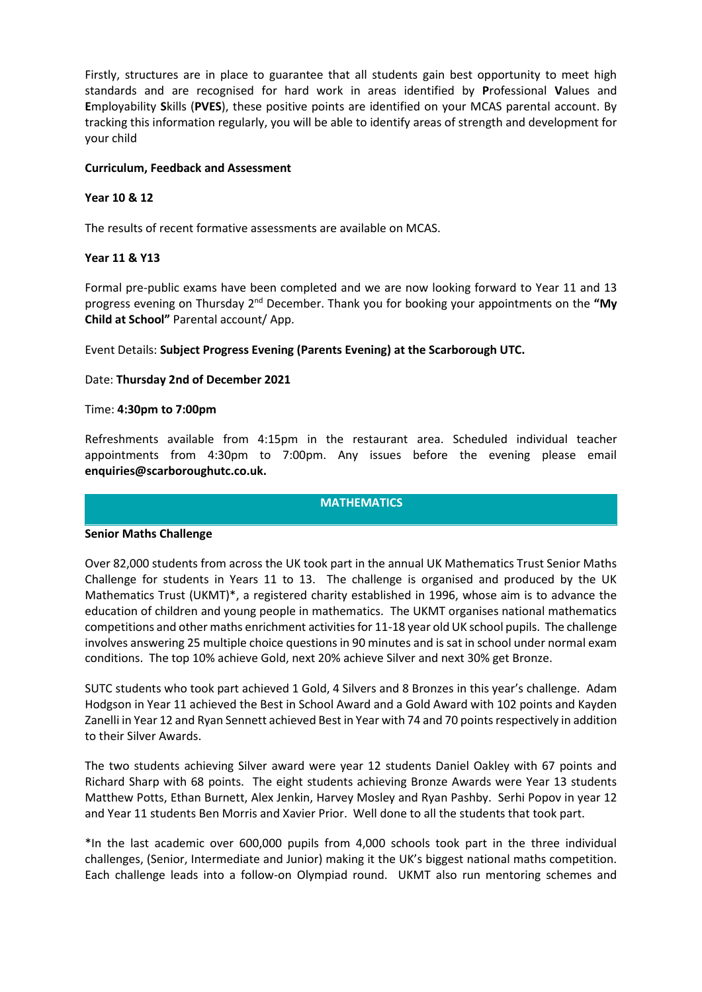Firstly, structures are in place to guarantee that all students gain best opportunity to meet high standards and are recognised for hard work in areas identified by **P**rofessional **V**alues and **E**mployability **S**kills (**PVES**), these positive points are identified on your MCAS parental account. By tracking this information regularly, you will be able to identify areas of strength and development for your child

## **Curriculum, Feedback and Assessment**

## **Year 10 & 12**

The results of recent formative assessments are available on MCAS.

#### **Year 11 & Y13**

Formal pre-public exams have been completed and we are now looking forward to Year 11 and 13 progress evening on Thursday 2nd December. Thank you for booking your appointments on the **"My Child at School"** Parental account/ App.

Event Details: **Subject Progress Evening (Parents Evening) at the Scarborough UTC.**

#### Date: **Thursday 2nd of December 2021**

#### Time: **4:30pm to 7:00pm**

Refreshments available from 4:15pm in the restaurant area. Scheduled individual teacher appointments from 4:30pm to 7:00pm. Any issues before the evening please email **enquiries@scarboroughutc.co.uk.**

#### **MATHEMATICS**

#### **Senior Maths Challenge**

Over 82,000 students from across the UK took part in the annual UK Mathematics Trust Senior Maths Challenge for students in Years 11 to 13. The challenge is organised and produced by the UK Mathematics Trust (UKMT)\*, a registered charity established in 1996, whose aim is to advance the education of children and young people in mathematics. The UKMT organises national mathematics competitions and other maths enrichment activities for 11-18 year old UK school pupils. The challenge involves answering 25 multiple choice questions in 90 minutes and is sat in school under normal exam conditions. The top 10% achieve Gold, next 20% achieve Silver and next 30% get Bronze.

SUTC students who took part achieved 1 Gold, 4 Silvers and 8 Bronzes in this year's challenge. Adam Hodgson in Year 11 achieved the Best in School Award and a Gold Award with 102 points and Kayden Zanelli in Year 12 and Ryan Sennett achieved Best in Year with 74 and 70 points respectively in addition to their Silver Awards.

The two students achieving Silver award were year 12 students Daniel Oakley with 67 points and Richard Sharp with 68 points. The eight students achieving Bronze Awards were Year 13 students Matthew Potts, Ethan Burnett, Alex Jenkin, Harvey Mosley and Ryan Pashby. Serhi Popov in year 12 and Year 11 students Ben Morris and Xavier Prior. Well done to all the students that took part.

\*In the last academic over 600,000 pupils from 4,000 schools took part in the three individual challenges, (Senior, Intermediate and Junior) making it the UK's biggest national maths competition. Each challenge leads into a follow-on Olympiad round. UKMT also run mentoring schemes and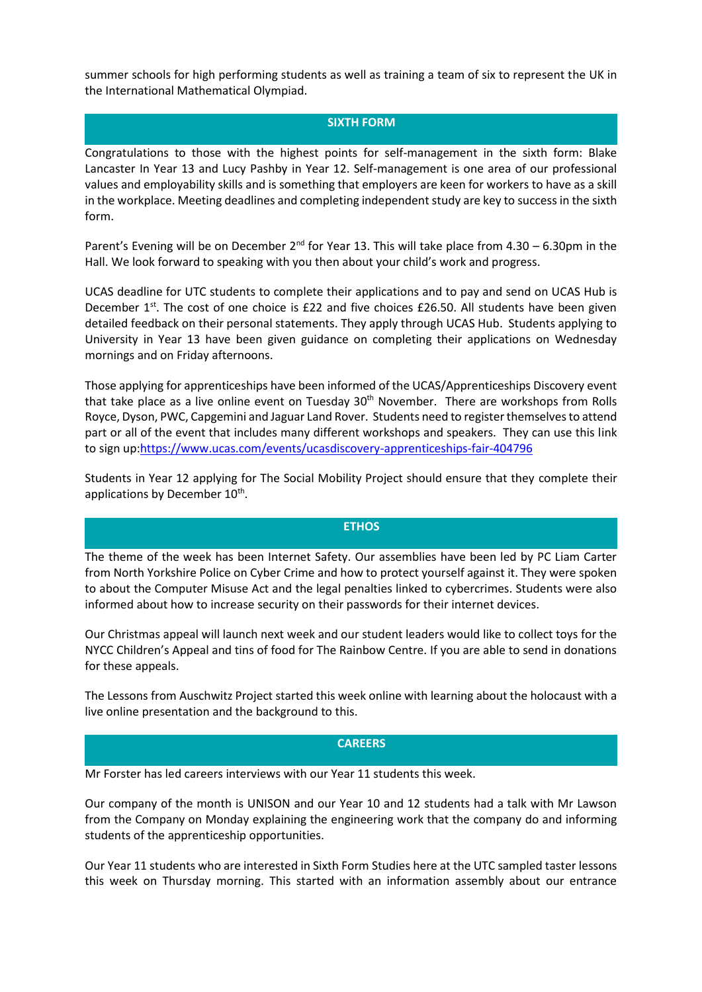summer schools for high performing students as well as training a team of six to represent the UK in the International Mathematical Olympiad.

## **SIXTH FORM**

Congratulations to those with the highest points for self-management in the sixth form: Blake Lancaster In Year 13 and Lucy Pashby in Year 12. Self-management is one area of our professional values and employability skills and is something that employers are keen for workers to have as a skill in the workplace. Meeting deadlines and completing independent study are key to success in the sixth form.

Parent's Evening will be on December 2<sup>nd</sup> for Year 13. This will take place from 4.30 – 6.30pm in the Hall. We look forward to speaking with you then about your child's work and progress.

UCAS deadline for UTC students to complete their applications and to pay and send on UCAS Hub is December  $1^{st}$ . The cost of one choice is £22 and five choices £26.50. All students have been given detailed feedback on their personal statements. They apply through UCAS Hub. Students applying to University in Year 13 have been given guidance on completing their applications on Wednesday mornings and on Friday afternoons.

Those applying for apprenticeships have been informed of the UCAS/Apprenticeships Discovery event that take place as a live online event on Tuesday 30<sup>th</sup> November. There are workshops from Rolls Royce, Dyson, PWC, Capgemini and Jaguar Land Rover. Students need to register themselves to attend part or all of the event that includes many different workshops and speakers. They can use this link to sign up[:https://www.ucas.com/events/ucasdiscovery-apprenticeships-fair-404796](https://www.ucas.com/events/ucasdiscovery-apprenticeships-fair-404796)

Students in Year 12 applying for The Social Mobility Project should ensure that they complete their applications by December 10<sup>th</sup>.

## **ETHOS**

The theme of the week has been Internet Safety. Our assemblies have been led by PC Liam Carter from North Yorkshire Police on Cyber Crime and how to protect yourself against it. They were spoken to about the Computer Misuse Act and the legal penalties linked to cybercrimes. Students were also informed about how to increase security on their passwords for their internet devices.

Our Christmas appeal will launch next week and our student leaders would like to collect toys for the NYCC Children's Appeal and tins of food for The Rainbow Centre. If you are able to send in donations for these appeals.

The Lessons from Auschwitz Project started this week online with learning about the holocaust with a live online presentation and the background to this.

#### **CAREERS**

Mr Forster has led careers interviews with our Year 11 students this week.

Our company of the month is UNISON and our Year 10 and 12 students had a talk with Mr Lawson from the Company on Monday explaining the engineering work that the company do and informing students of the apprenticeship opportunities.

Our Year 11 students who are interested in Sixth Form Studies here at the UTC sampled taster lessons this week on Thursday morning. This started with an information assembly about our entrance